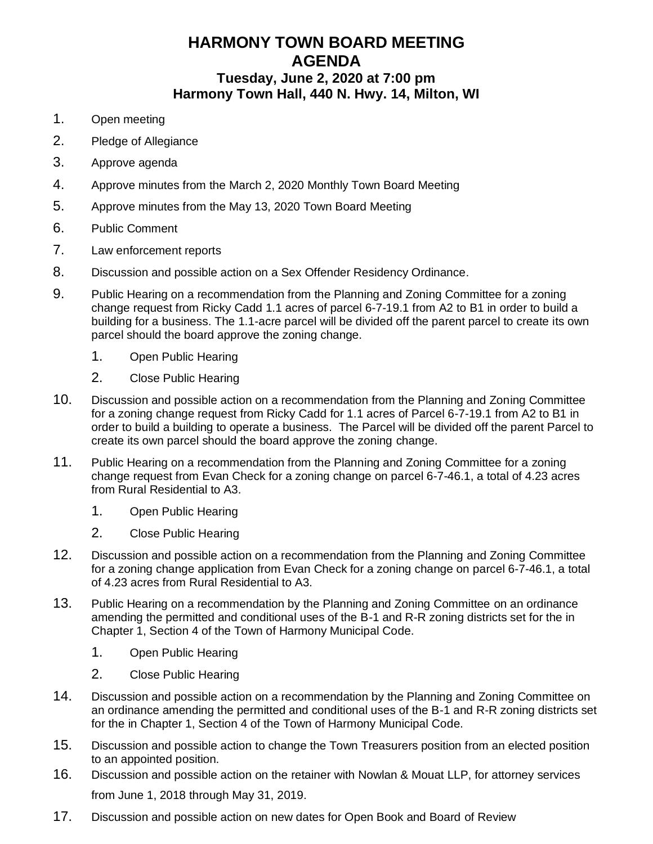## **HARMONY TOWN BOARD MEETING AGENDA Tuesday, June 2, 2020 at 7:00 pm Harmony Town Hall, 440 N. Hwy. 14, Milton, WI**

- 1. Open meeting
- 2. Pledge of Allegiance
- 3. Approve agenda
- 4. Approve minutes from the March 2, 2020 Monthly Town Board Meeting
- 5. Approve minutes from the May 13, 2020 Town Board Meeting
- 6. Public Comment
- 7. Law enforcement reports
- 8. Discussion and possible action on a Sex Offender Residency Ordinance.
- 9. Public Hearing on a recommendation from the Planning and Zoning Committee for a zoning change request from Ricky Cadd 1.1 acres of parcel 6-7-19.1 from A2 to B1 in order to build a building for a business. The 1.1-acre parcel will be divided off the parent parcel to create its own parcel should the board approve the zoning change.
	- 1. Open Public Hearing
	- 2. Close Public Hearing
- 10. Discussion and possible action on a recommendation from the Planning and Zoning Committee for a zoning change request from Ricky Cadd for 1.1 acres of Parcel 6-7-19.1 from A2 to B1 in order to build a building to operate a business. The Parcel will be divided off the parent Parcel to create its own parcel should the board approve the zoning change.
- 11. Public Hearing on a recommendation from the Planning and Zoning Committee for a zoning change request from Evan Check for a zoning change on parcel 6-7-46.1, a total of 4.23 acres from Rural Residential to A3.
	- 1. Open Public Hearing
	- 2. Close Public Hearing
- 12. Discussion and possible action on a recommendation from the Planning and Zoning Committee for a zoning change application from Evan Check for a zoning change on parcel 6-7-46.1, a total of 4.23 acres from Rural Residential to A3.
- 13. Public Hearing on a recommendation by the Planning and Zoning Committee on an ordinance amending the permitted and conditional uses of the B-1 and R-R zoning districts set for the in Chapter 1, Section 4 of the Town of Harmony Municipal Code.
	- 1. Open Public Hearing
	- 2. Close Public Hearing
- 14. Discussion and possible action on a recommendation by the Planning and Zoning Committee on an ordinance amending the permitted and conditional uses of the B-1 and R-R zoning districts set for the in Chapter 1, Section 4 of the Town of Harmony Municipal Code.
- 15. Discussion and possible action to change the Town Treasurers position from an elected position to an appointed position.
- 16. Discussion and possible action on the retainer with Nowlan & Mouat LLP, for attorney services from June 1, 2018 through May 31, 2019.
- 17. Discussion and possible action on new dates for Open Book and Board of Review